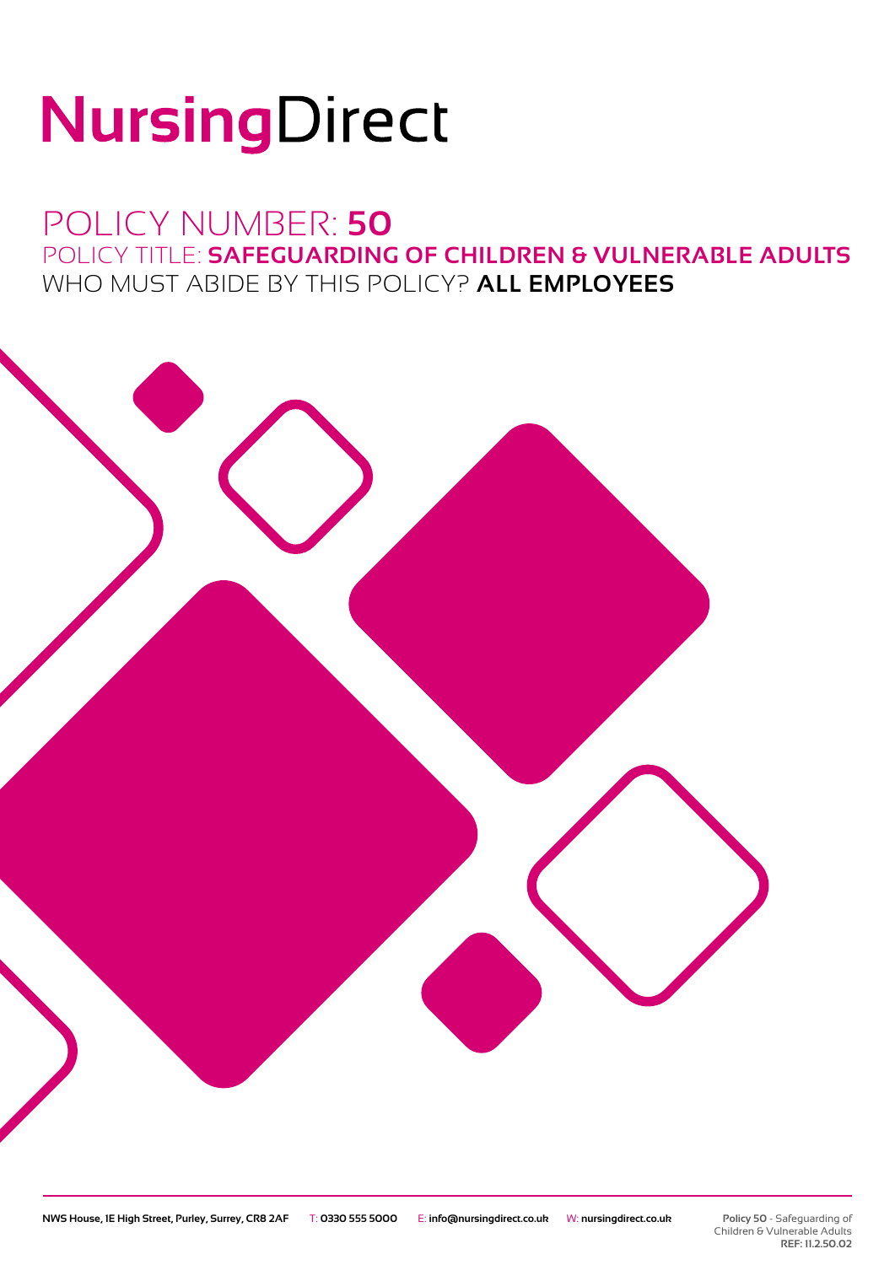# NursingDirect

## POLICY NUMBER: **50** POLICY TITLE: **SAFEGUARDING OF CHILDREN & VULNERABLE ADULTS** WHO MUST ABIDE BY THIS POLICY? **ALL EMPLOYEES**